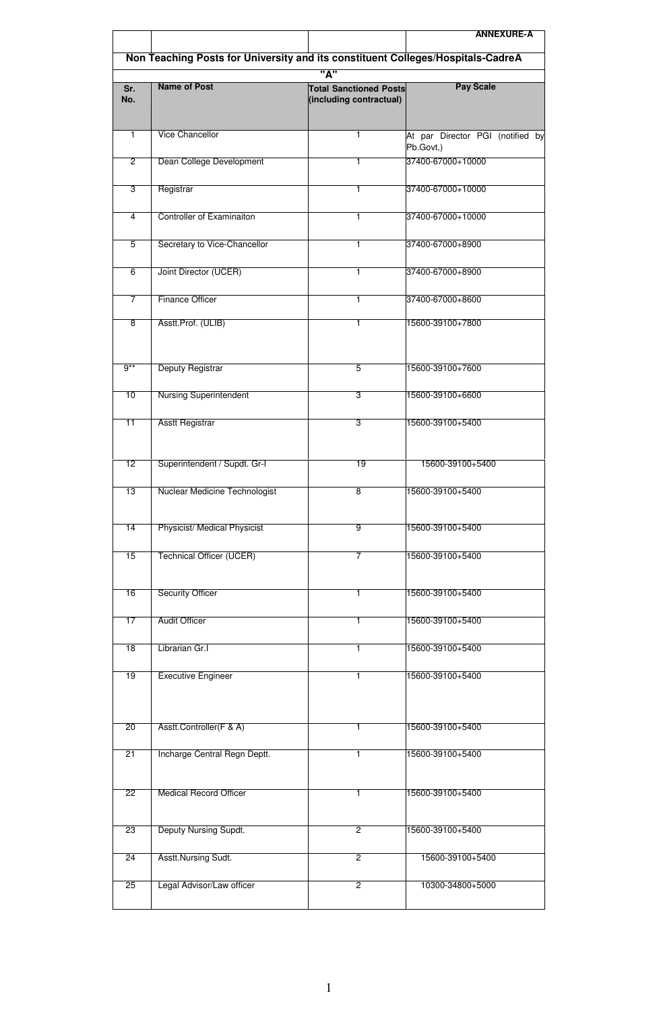|                 |                                                                                 |                                                          | <b>ANNEXURE-A</b>                             |  |
|-----------------|---------------------------------------------------------------------------------|----------------------------------------------------------|-----------------------------------------------|--|
|                 | Non Teaching Posts for University and its constituent Colleges/Hospitals-CadreA |                                                          |                                               |  |
| "А"             |                                                                                 |                                                          |                                               |  |
| Sr.<br>No.      | <b>Name of Post</b>                                                             | <b>Total Sanctioned Posts</b><br>(including contractual) | <b>Pay Scale</b>                              |  |
| 1               | <b>Vice Chancellor</b>                                                          | 1                                                        | At par Director PGI (notified by<br>Pb.Govt,) |  |
| $\overline{2}$  | Dean College Development                                                        | 1                                                        | 37400-67000+10000                             |  |
| 3               | Registrar                                                                       | 1                                                        | 37400-67000+10000                             |  |
| 4               | <b>Controller of Examinaiton</b>                                                | 1                                                        | 37400-67000+10000                             |  |
| $\overline{5}$  | Secretary to Vice-Chancellor                                                    | 1                                                        | 37400-67000+8900                              |  |
| 6               | Joint Director (UCER)                                                           | 1                                                        | 37400-67000+8900                              |  |
| 7               | <b>Finance Officer</b>                                                          | 1                                                        | 37400-67000+8600                              |  |
| 8               | Asstt.Prof. (ULIB)                                                              | 1                                                        | 15600-39100+7800                              |  |
| $9**$           | Deputy Registrar                                                                | 5                                                        | 15600-39100+7600                              |  |
| 10              | <b>Nursing Superintendent</b>                                                   | 3                                                        | 15600-39100+6600                              |  |
| $\overline{11}$ | <b>Asstt Registrar</b>                                                          | 3                                                        | 15600-39100+5400                              |  |
| 12              | Superintendent / Supdt. Gr-I                                                    | $\overline{19}$                                          | 15600-39100+5400                              |  |
| 13              | Nuclear Medicine Technologist                                                   | 8                                                        | 15600-39100+5400                              |  |
| 14              | <b>Physicist/ Medical Physicist</b>                                             | 9                                                        | 15600-39100+5400                              |  |
| 15              | <b>Technical Officer (UCER)</b>                                                 | 7                                                        | 15600-39100+5400                              |  |
| 16              | <b>Security Officer</b>                                                         | 1                                                        | 15600-39100+5400                              |  |
| 17              | <b>Audit Officer</b>                                                            | 1                                                        | 15600-39100+5400                              |  |
| 18              | Librarian Gr.I                                                                  | $\overline{1}$                                           | 15600-39100+5400                              |  |
| 19              | <b>Executive Engineer</b>                                                       | 1                                                        | 15600-39100+5400                              |  |
| $\overline{20}$ | Asstt.Controller(F & A)                                                         | 1                                                        | 15600-39100+5400                              |  |
| 21              | Incharge Central Regn Deptt.                                                    | 1                                                        | 15600-39100+5400                              |  |
| 22              | <b>Medical Record Officer</b>                                                   | 1                                                        | 15600-39100+5400                              |  |
| 23              | Deputy Nursing Supdt.                                                           | $\overline{2}$                                           | 15600-39100+5400                              |  |
| $\overline{24}$ | Asstt.Nursing Sudt.                                                             | 2                                                        | 15600-39100+5400                              |  |
| 25              | Legal Advisor/Law officer                                                       | $\overline{2}$                                           | 10300-34800+5000                              |  |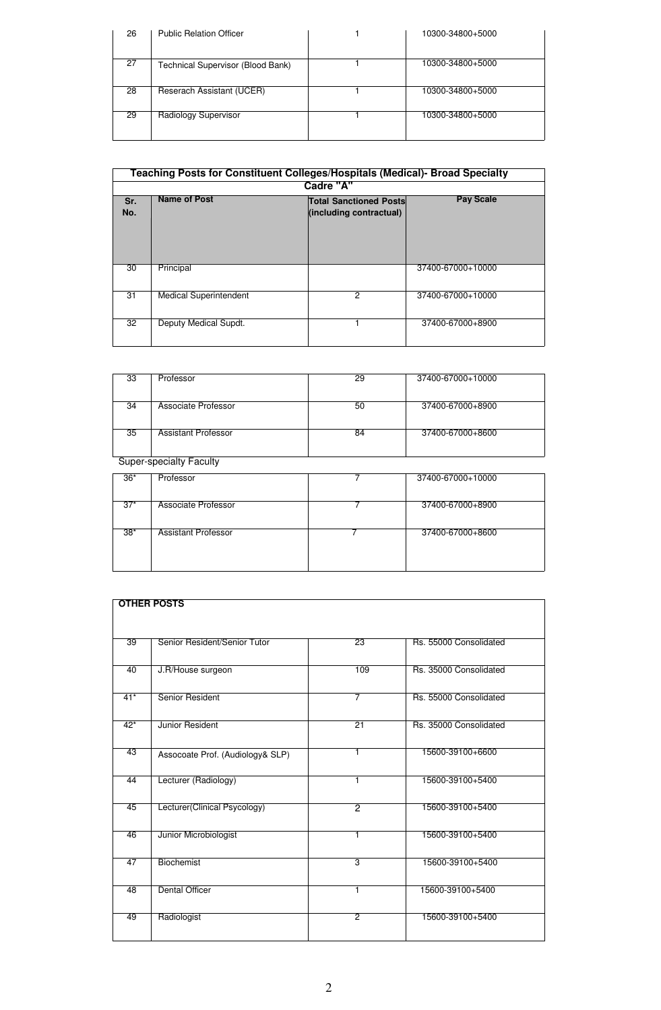| 26 | <b>Public Relation Officer</b>    | 10300-34800+5000 |
|----|-----------------------------------|------------------|
| 27 | Technical Supervisor (Blood Bank) | 10300-34800+5000 |
| 28 | Reserach Assistant (UCER)         | 10300-34800+5000 |
| 29 | Radiology Supervisor              | 10300-34800+5000 |

|              | Teaching Posts for Constituent Colleges/Hospitals (Medical)- Broad Specialty |                                                          |                   |  |
|--------------|------------------------------------------------------------------------------|----------------------------------------------------------|-------------------|--|
|              |                                                                              | Cadre "A"                                                |                   |  |
| Sr.<br>No.   | <b>Name of Post</b>                                                          | <b>Total Sanctioned Posts</b><br>(including contractual) | <b>Pay Scale</b>  |  |
| 30           | Principal                                                                    |                                                          | 37400-67000+10000 |  |
| 31           | <b>Medical Superintendent</b>                                                | 2                                                        | 37400-67000+10000 |  |
| $32^{\circ}$ | Deputy Medical Supdt.                                                        |                                                          | 37400-67000+8900  |  |

| 33 | Professor                      | 29 | 37400-67000+10000 |  |  |
|----|--------------------------------|----|-------------------|--|--|
|    |                                |    |                   |  |  |
|    |                                |    |                   |  |  |
|    |                                |    |                   |  |  |
| 34 | Associate Professor            | 50 | 37400-67000+8900  |  |  |
|    |                                |    |                   |  |  |
|    |                                |    |                   |  |  |
|    |                                |    |                   |  |  |
|    |                                |    |                   |  |  |
| 35 | <b>Assistant Professor</b>     | 84 | 37400-67000+8600  |  |  |
|    |                                |    |                   |  |  |
|    |                                |    |                   |  |  |
|    |                                |    |                   |  |  |
|    | <b>Super-specialty Faculty</b> |    |                   |  |  |
|    |                                |    |                   |  |  |

| $36*$ | Professor                  | 37400-67000+10000 |
|-------|----------------------------|-------------------|
|       |                            |                   |
|       |                            |                   |
|       |                            |                   |
| $37*$ | Associate Professor        | 37400-67000+8900  |
|       |                            |                   |
|       |                            |                   |
| $38*$ | <b>Assistant Professor</b> | 37400-67000+8600  |
|       |                            |                   |
|       |                            |                   |
|       |                            |                   |
|       |                            |                   |
|       |                            |                   |

| <b>OTHER POSTS</b> |                                  |                 |                        |  |  |
|--------------------|----------------------------------|-----------------|------------------------|--|--|
|                    |                                  |                 |                        |  |  |
|                    |                                  |                 |                        |  |  |
| 39                 | Senior Resident/Senior Tutor     | 23              | Rs. 55000 Consolidated |  |  |
|                    |                                  |                 |                        |  |  |
|                    |                                  |                 |                        |  |  |
| 40                 | J.R/House surgeon                | 109             | Rs. 35000 Consolidated |  |  |
|                    |                                  |                 |                        |  |  |
| $41*$              | Senior Resident                  | 7               | Rs. 55000 Consolidated |  |  |
|                    |                                  |                 |                        |  |  |
| $42*$              | Junior Resident                  | $\overline{21}$ | Rs. 35000 Consolidated |  |  |
|                    |                                  |                 |                        |  |  |
| 43                 | Assocoate Prof. (Audiology& SLP) | 1               | 15600-39100+6600       |  |  |
|                    |                                  |                 |                        |  |  |
| 44                 | Lecturer (Radiology)             | 1               | 15600-39100+5400       |  |  |
|                    |                                  |                 |                        |  |  |
|                    |                                  |                 |                        |  |  |
| 45                 | Lecturer(Clinical Psycology)     | 2               | 15600-39100+5400       |  |  |
|                    |                                  |                 |                        |  |  |
| 46                 | Junior Microbiologist            | 1               | 15600-39100+5400       |  |  |
|                    |                                  |                 |                        |  |  |
| 47                 | Biochemist                       | 3               | 15600-39100+5400       |  |  |
|                    |                                  |                 |                        |  |  |
| 48                 | <b>Dental Officer</b>            | 1               | 15600-39100+5400       |  |  |
|                    |                                  |                 |                        |  |  |
| 49                 | Radiologist                      | $\overline{2}$  | 15600-39100+5400       |  |  |
|                    |                                  |                 |                        |  |  |
|                    |                                  |                 |                        |  |  |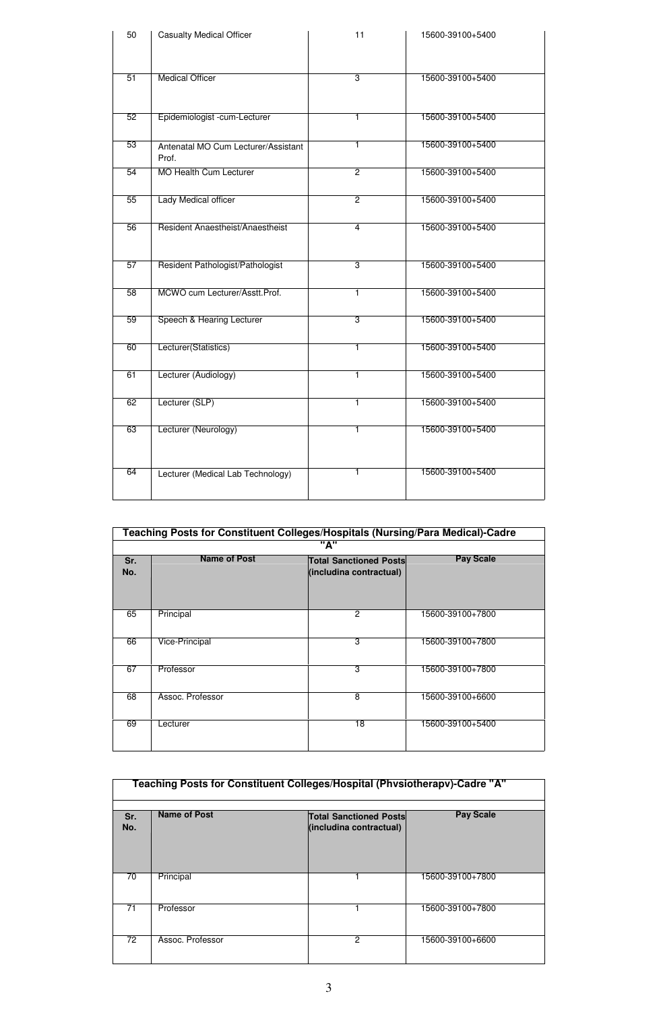| 50 | <b>Casualty Medical Officer</b>              | 11             | 15600-39100+5400 |
|----|----------------------------------------------|----------------|------------------|
| 51 | <b>Medical Officer</b>                       | 3              | 15600-39100+5400 |
|    |                                              |                |                  |
| 52 | Epidemiologist -cum-Lecturer                 | 1              | 15600-39100+5400 |
| 53 | Antenatal MO Cum Lecturer/Assistant<br>Prof. | T              | 15600-39100+5400 |
| 54 | MO Health Cum Lecturer                       | $\overline{2}$ | 15600-39100+5400 |
| 55 | Lady Medical officer                         | 2              | 15600-39100+5400 |
| 56 | Resident Anaestheist/Anaestheist             | 4              | 15600-39100+5400 |
| 57 | Resident Pathologist/Pathologist             | 3              | 15600-39100+5400 |
| 58 | MCWO cum Lecturer/Asstt.Prof.                | T              | 15600-39100+5400 |
| 59 | Speech & Hearing Lecturer                    | 3              | 15600-39100+5400 |
| 60 | Lecturer(Statistics)                         | 1              | 15600-39100+5400 |
| 61 | Lecturer (Audiology)                         | T              | 15600-39100+5400 |
| 62 | Lecturer (SLP)                               | $\overline{1}$ | 15600-39100+5400 |
| 63 | Lecturer (Neurology)                         | 1              | 15600-39100+5400 |
| 64 |                                              | 1              | 15600-39100+5400 |
|    | Lecturer (Medical Lab Technology)            |                |                  |

|            | Teaching Posts for Constituent Colleges/Hospitals (Nursing/Para Medical)-Cadre |                                                          |                  |  |
|------------|--------------------------------------------------------------------------------|----------------------------------------------------------|------------------|--|
|            |                                                                                | "А"                                                      |                  |  |
| Sr.<br>No. | <b>Name of Post</b>                                                            | <b>Total Sanctioned Posts</b><br>(includina contractual) | <b>Pay Scale</b> |  |
| 65         | Principal                                                                      | $\overline{2}$                                           | 15600-39100+7800 |  |
| 66         | Vice-Principal                                                                 | 3                                                        | 15600-39100+7800 |  |
| 67         | Professor                                                                      | 3                                                        | 15600-39100+7800 |  |
| 68         | Assoc. Professor                                                               | 8                                                        | 15600-39100+6600 |  |
| 69         | Lecturer                                                                       | 18                                                       | 15600-39100+5400 |  |

|                 | Teaching Posts for Constituent Colleges/Hospital (Physiotherapy)-Cadre "A" |                                                          |                  |  |
|-----------------|----------------------------------------------------------------------------|----------------------------------------------------------|------------------|--|
| Sr.<br>No.      | <b>Name of Post</b>                                                        | <b>Total Sanctioned Posts</b><br>(includina contractual) | <b>Pay Scale</b> |  |
| 70              | Principal                                                                  |                                                          | 15600-39100+7800 |  |
| 71              | Professor                                                                  |                                                          | 15600-39100+7800 |  |
| $\overline{72}$ | Assoc. Professor                                                           | 2                                                        | 15600-39100+6600 |  |